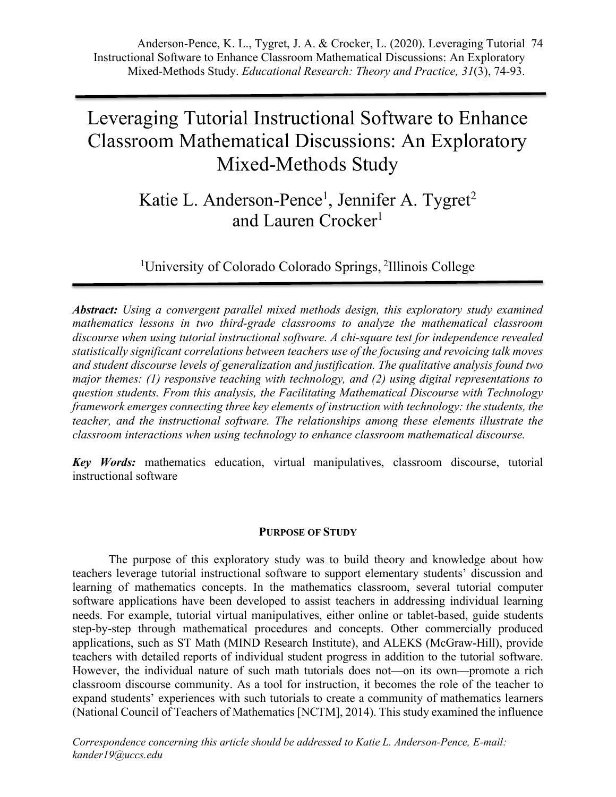# Leveraging Tutorial Instructional Software to Enhance Classroom Mathematical Discussions: An Exploratory Mixed-Methods Study

# Katie L. Anderson-Pence<sup>1</sup>, Jennifer A. Tygret<sup>2</sup> and Lauren Crocker<sup>1</sup>

<sup>1</sup>University of Colorado Colorado Springs, <sup>2</sup>Illinois College

*Abstract: Using a convergent parallel mixed methods design, this exploratory study examined mathematics lessons in two third-grade classrooms to analyze the mathematical classroom discourse when using tutorial instructional software. A chi-square test for independence revealed statistically significant correlations between teachers use of the focusing and revoicing talk moves and student discourse levels of generalization and justification. The qualitative analysis found two major themes: (1) responsive teaching with technology, and (2) using digital representations to question students. From this analysis, the Facilitating Mathematical Discourse with Technology framework emerges connecting three key elements of instruction with technology: the students, the teacher, and the instructional software. The relationships among these elements illustrate the classroom interactions when using technology to enhance classroom mathematical discourse.*

*Key Words:* mathematics education, virtual manipulatives, classroom discourse, tutorial instructional software

# **PURPOSE OF STUDY**

The purpose of this exploratory study was to build theory and knowledge about how teachers leverage tutorial instructional software to support elementary students' discussion and learning of mathematics concepts. In the mathematics classroom, several tutorial computer software applications have been developed to assist teachers in addressing individual learning needs. For example, tutorial virtual manipulatives, either online or tablet-based, guide students step-by-step through mathematical procedures and concepts. Other commercially produced applications, such as ST Math (MIND Research Institute), and ALEKS (McGraw-Hill), provide teachers with detailed reports of individual student progress in addition to the tutorial software. However, the individual nature of such math tutorials does not—on its own—promote a rich classroom discourse community. As a tool for instruction, it becomes the role of the teacher to expand students' experiences with such tutorials to create a community of mathematics learners (National Council of Teachers of Mathematics [NCTM], 2014). This study examined the influence

*Correspondence concerning this article should be addressed to Katie L. Anderson-Pence, E-mail: kander19@uccs.edu*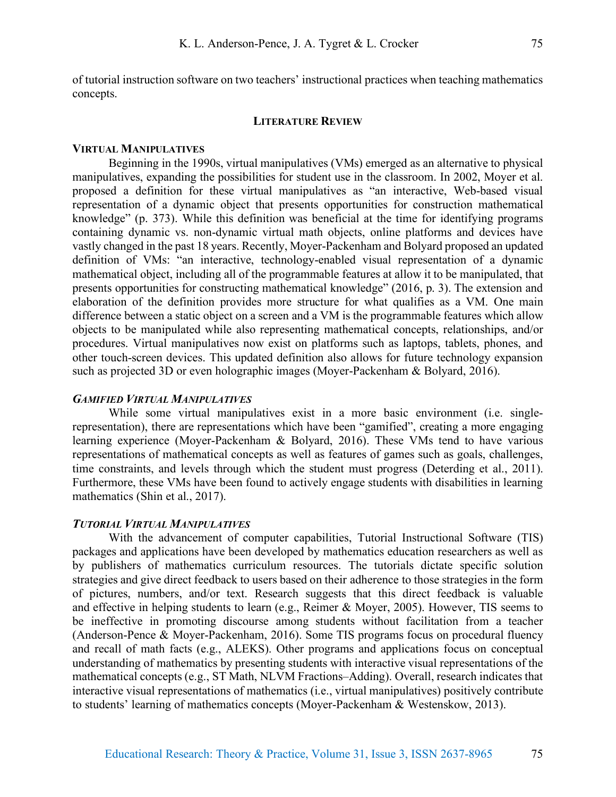of tutorial instruction software on two teachers' instructional practices when teaching mathematics concepts.

#### **LITERATURE REVIEW**

#### **VIRTUAL MANIPULATIVES**

Beginning in the 1990s, virtual manipulatives (VMs) emerged as an alternative to physical manipulatives, expanding the possibilities for student use in the classroom. In 2002, Moyer et al. proposed a definition for these virtual manipulatives as "an interactive, Web-based visual representation of a dynamic object that presents opportunities for construction mathematical knowledge" (p. 373). While this definition was beneficial at the time for identifying programs containing dynamic vs. non-dynamic virtual math objects, online platforms and devices have vastly changed in the past 18 years. Recently, Moyer-Packenham and Bolyard proposed an updated definition of VMs: "an interactive, technology-enabled visual representation of a dynamic mathematical object, including all of the programmable features at allow it to be manipulated, that presents opportunities for constructing mathematical knowledge" (2016, p. 3). The extension and elaboration of the definition provides more structure for what qualifies as a VM. One main difference between a static object on a screen and a VM is the programmable features which allow objects to be manipulated while also representing mathematical concepts, relationships, and/or procedures. Virtual manipulatives now exist on platforms such as laptops, tablets, phones, and other touch-screen devices. This updated definition also allows for future technology expansion such as projected 3D or even holographic images (Moyer-Packenham & Bolyard, 2016).

# *GAMIFIED VIRTUAL MANIPULATIVES*

While some virtual manipulatives exist in a more basic environment (i.e. singlerepresentation), there are representations which have been "gamified", creating a more engaging learning experience (Moyer-Packenham & Bolyard, 2016). These VMs tend to have various representations of mathematical concepts as well as features of games such as goals, challenges, time constraints, and levels through which the student must progress (Deterding et al., 2011). Furthermore, these VMs have been found to actively engage students with disabilities in learning mathematics (Shin et al., 2017).

#### *TUTORIAL VIRTUAL MANIPULATIVES*

With the advancement of computer capabilities, Tutorial Instructional Software (TIS) packages and applications have been developed by mathematics education researchers as well as by publishers of mathematics curriculum resources. The tutorials dictate specific solution strategies and give direct feedback to users based on their adherence to those strategies in the form of pictures, numbers, and/or text. Research suggests that this direct feedback is valuable and effective in helping students to learn (e.g., Reimer & Moyer, 2005). However, TIS seems to be ineffective in promoting discourse among students without facilitation from a teacher (Anderson-Pence & Moyer-Packenham, 2016). Some TIS programs focus on procedural fluency and recall of math facts (e.g., ALEKS). Other programs and applications focus on conceptual understanding of mathematics by presenting students with interactive visual representations of the mathematical concepts (e.g., ST Math, NLVM Fractions–Adding). Overall, research indicates that interactive visual representations of mathematics (i.e., virtual manipulatives) positively contribute to students' learning of mathematics concepts (Moyer-Packenham & Westenskow, 2013).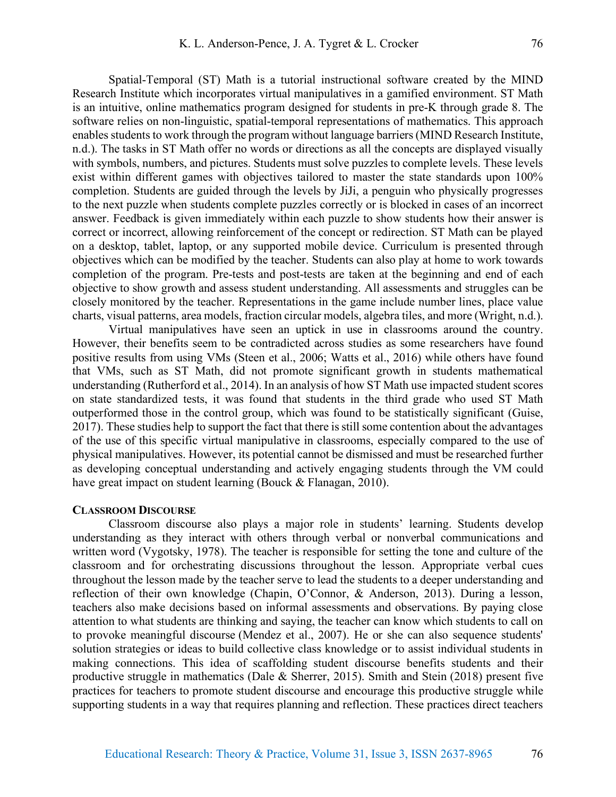Spatial-Temporal (ST) Math is a tutorial instructional software created by the MIND Research Institute which incorporates virtual manipulatives in a gamified environment. ST Math is an intuitive, online mathematics program designed for students in pre-K through grade 8. The software relies on non-linguistic, spatial-temporal representations of mathematics. This approach enables students to work through the program without language barriers (MIND Research Institute, n.d.). The tasks in ST Math offer no words or directions as all the concepts are displayed visually with symbols, numbers, and pictures. Students must solve puzzles to complete levels. These levels exist within different games with objectives tailored to master the state standards upon 100% completion. Students are guided through the levels by JiJi, a penguin who physically progresses to the next puzzle when students complete puzzles correctly or is blocked in cases of an incorrect answer. Feedback is given immediately within each puzzle to show students how their answer is correct or incorrect, allowing reinforcement of the concept or redirection. ST Math can be played on a desktop, tablet, laptop, or any supported mobile device. Curriculum is presented through objectives which can be modified by the teacher. Students can also play at home to work towards completion of the program. Pre-tests and post-tests are taken at the beginning and end of each objective to show growth and assess student understanding. All assessments and struggles can be closely monitored by the teacher. Representations in the game include number lines, place value charts, visual patterns, area models, fraction circular models, algebra tiles, and more (Wright, n.d.).

Virtual manipulatives have seen an uptick in use in classrooms around the country. However, their benefits seem to be contradicted across studies as some researchers have found positive results from using VMs (Steen et al., 2006; Watts et al., 2016) while others have found that VMs, such as ST Math, did not promote significant growth in students mathematical understanding (Rutherford et al., 2014). In an analysis of how ST Math use impacted student scores on state standardized tests, it was found that students in the third grade who used ST Math outperformed those in the control group, which was found to be statistically significant (Guise, 2017). These studies help to support the fact that there is still some contention about the advantages of the use of this specific virtual manipulative in classrooms, especially compared to the use of physical manipulatives. However, its potential cannot be dismissed and must be researched further as developing conceptual understanding and actively engaging students through the VM could have great impact on student learning (Bouck & Flanagan, 2010).

#### **CLASSROOM DISCOURSE**

Classroom discourse also plays a major role in students' learning. Students develop understanding as they interact with others through verbal or nonverbal communications and written word (Vygotsky, 1978). The teacher is responsible for setting the tone and culture of the classroom and for orchestrating discussions throughout the lesson. Appropriate verbal cues throughout the lesson made by the teacher serve to lead the students to a deeper understanding and reflection of their own knowledge (Chapin, O'Connor, & Anderson, 2013). During a lesson, teachers also make decisions based on informal assessments and observations. By paying close attention to what students are thinking and saying, the teacher can know which students to call on to provoke meaningful discourse (Mendez et al., 2007). He or she can also sequence students' solution strategies or ideas to build collective class knowledge or to assist individual students in making connections. This idea of scaffolding student discourse benefits students and their productive struggle in mathematics (Dale & Sherrer, 2015). Smith and Stein (2018) present five practices for teachers to promote student discourse and encourage this productive struggle while supporting students in a way that requires planning and reflection. These practices direct teachers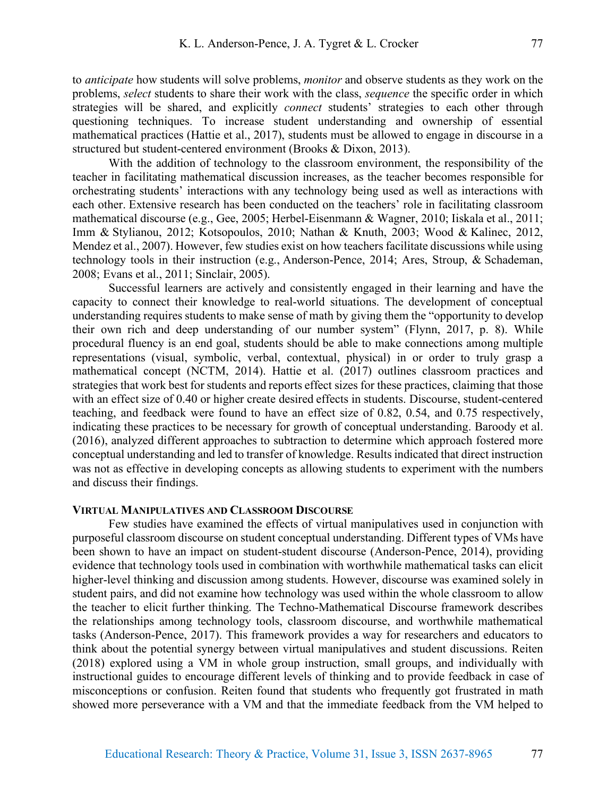to *anticipate* how students will solve problems, *monitor* and observe students as they work on the problems, *select* students to share their work with the class, *sequence* the specific order in which strategies will be shared, and explicitly *connect* students' strategies to each other through questioning techniques. To increase student understanding and ownership of essential mathematical practices (Hattie et al., 2017), students must be allowed to engage in discourse in a structured but student-centered environment (Brooks & Dixon, 2013).

With the addition of technology to the classroom environment, the responsibility of the teacher in facilitating mathematical discussion increases, as the teacher becomes responsible for orchestrating students' interactions with any technology being used as well as interactions with each other. Extensive research has been conducted on the teachers' role in facilitating classroom mathematical discourse (e.g., Gee, 2005; Herbel-Eisenmann & Wagner, 2010; Iiskala et al., 2011; Imm & Stylianou, 2012; Kotsopoulos, 2010; Nathan & Knuth, 2003; Wood & Kalinec, 2012, Mendez et al., 2007). However, few studies exist on how teachers facilitate discussions while using technology tools in their instruction (e.g., Anderson-Pence, 2014; Ares, Stroup, & Schademan, 2008; Evans et al., 2011; Sinclair, 2005).

Successful learners are actively and consistently engaged in their learning and have the capacity to connect their knowledge to real-world situations. The development of conceptual understanding requires students to make sense of math by giving them the "opportunity to develop their own rich and deep understanding of our number system" (Flynn, 2017, p. 8). While procedural fluency is an end goal, students should be able to make connections among multiple representations (visual, symbolic, verbal, contextual, physical) in or order to truly grasp a mathematical concept (NCTM, 2014). Hattie et al. (2017) outlines classroom practices and strategies that work best for students and reports effect sizes for these practices, claiming that those with an effect size of 0.40 or higher create desired effects in students. Discourse, student-centered teaching, and feedback were found to have an effect size of 0.82, 0.54, and 0.75 respectively, indicating these practices to be necessary for growth of conceptual understanding. Baroody et al. (2016), analyzed different approaches to subtraction to determine which approach fostered more conceptual understanding and led to transfer of knowledge. Results indicated that direct instruction was not as effective in developing concepts as allowing students to experiment with the numbers and discuss their findings.

# **VIRTUAL MANIPULATIVES AND CLASSROOM DISCOURSE**

Few studies have examined the effects of virtual manipulatives used in conjunction with purposeful classroom discourse on student conceptual understanding. Different types of VMs have been shown to have an impact on student-student discourse (Anderson-Pence, 2014), providing evidence that technology tools used in combination with worthwhile mathematical tasks can elicit higher-level thinking and discussion among students. However, discourse was examined solely in student pairs, and did not examine how technology was used within the whole classroom to allow the teacher to elicit further thinking. The Techno-Mathematical Discourse framework describes the relationships among technology tools, classroom discourse, and worthwhile mathematical tasks (Anderson-Pence, 2017). This framework provides a way for researchers and educators to think about the potential synergy between virtual manipulatives and student discussions. Reiten (2018) explored using a VM in whole group instruction, small groups, and individually with instructional guides to encourage different levels of thinking and to provide feedback in case of misconceptions or confusion. Reiten found that students who frequently got frustrated in math showed more perseverance with a VM and that the immediate feedback from the VM helped to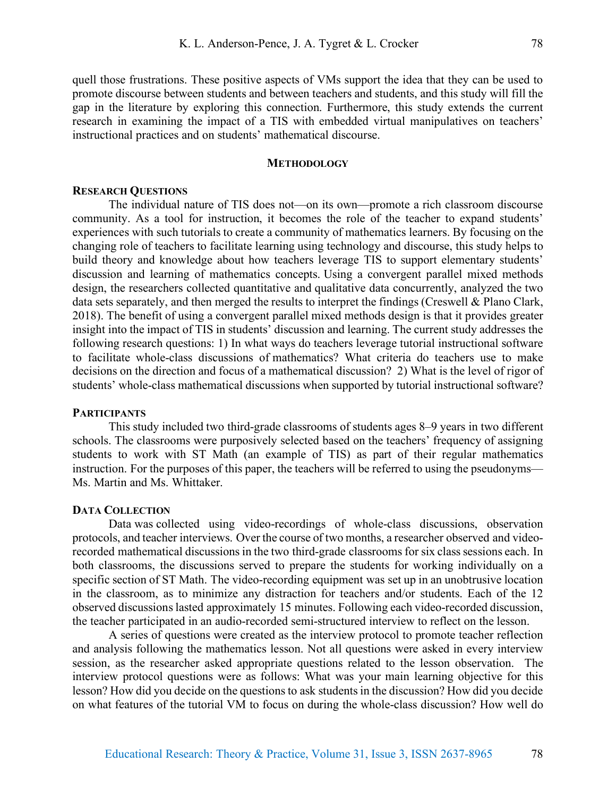quell those frustrations. These positive aspects of VMs support the idea that they can be used to promote discourse between students and between teachers and students, and this study will fill the gap in the literature by exploring this connection. Furthermore, this study extends the current research in examining the impact of a TIS with embedded virtual manipulatives on teachers' instructional practices and on students' mathematical discourse.

### **METHODOLOGY**

# **RESEARCH QUESTIONS**

The individual nature of TIS does not—on its own—promote a rich classroom discourse community. As a tool for instruction, it becomes the role of the teacher to expand students' experiences with such tutorials to create a community of mathematics learners. By focusing on the changing role of teachers to facilitate learning using technology and discourse, this study helps to build theory and knowledge about how teachers leverage TIS to support elementary students' discussion and learning of mathematics concepts. Using a convergent parallel mixed methods design, the researchers collected quantitative and qualitative data concurrently, analyzed the two data sets separately, and then merged the results to interpret the findings (Creswell & Plano Clark, 2018). The benefit of using a convergent parallel mixed methods design is that it provides greater insight into the impact of TIS in students' discussion and learning. The current study addresses the following research questions: 1) In what ways do teachers leverage tutorial instructional software to facilitate whole-class discussions of mathematics? What criteria do teachers use to make decisions on the direction and focus of a mathematical discussion? 2) What is the level of rigor of students' whole-class mathematical discussions when supported by tutorial instructional software?

## **PARTICIPANTS**

This study included two third-grade classrooms of students ages 8–9 years in two different schools. The classrooms were purposively selected based on the teachers' frequency of assigning students to work with ST Math (an example of TIS) as part of their regular mathematics instruction. For the purposes of this paper, the teachers will be referred to using the pseudonyms— Ms. Martin and Ms. Whittaker.

#### **DATA COLLECTION**

Data was collected using video-recordings of whole-class discussions, observation protocols, and teacher interviews. Over the course of two months, a researcher observed and videorecorded mathematical discussions in the two third-grade classrooms for six class sessions each. In both classrooms, the discussions served to prepare the students for working individually on a specific section of ST Math. The video-recording equipment was set up in an unobtrusive location in the classroom, as to minimize any distraction for teachers and/or students. Each of the 12 observed discussions lasted approximately 15 minutes. Following each video-recorded discussion, the teacher participated in an audio-recorded semi-structured interview to reflect on the lesson.

A series of questions were created as the interview protocol to promote teacher reflection and analysis following the mathematics lesson. Not all questions were asked in every interview session, as the researcher asked appropriate questions related to the lesson observation. The interview protocol questions were as follows: What was your main learning objective for this lesson? How did you decide on the questions to ask students in the discussion? How did you decide on what features of the tutorial VM to focus on during the whole-class discussion? How well do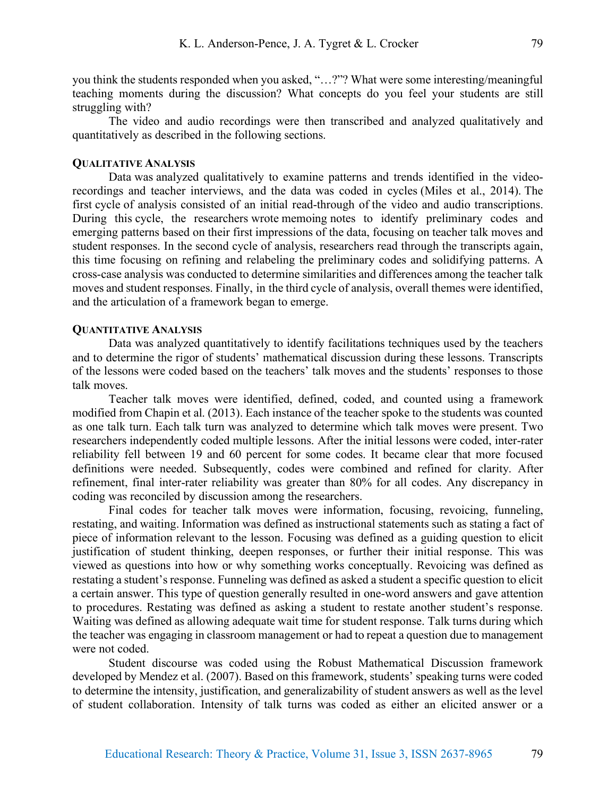you think the students responded when you asked, "…?"? What were some interesting/meaningful teaching moments during the discussion? What concepts do you feel your students are still struggling with?

The video and audio recordings were then transcribed and analyzed qualitatively and quantitatively as described in the following sections.

## **QUALITATIVE ANALYSIS**

Data was analyzed qualitatively to examine patterns and trends identified in the videorecordings and teacher interviews, and the data was coded in cycles (Miles et al., 2014). The first cycle of analysis consisted of an initial read-through of the video and audio transcriptions. During this cycle, the researchers wrote memoing notes to identify preliminary codes and emerging patterns based on their first impressions of the data, focusing on teacher talk moves and student responses. In the second cycle of analysis, researchers read through the transcripts again, this time focusing on refining and relabeling the preliminary codes and solidifying patterns. A cross-case analysis was conducted to determine similarities and differences among the teacher talk moves and student responses. Finally, in the third cycle of analysis, overall themes were identified, and the articulation of a framework began to emerge.

#### **QUANTITATIVE ANALYSIS**

Data was analyzed quantitatively to identify facilitations techniques used by the teachers and to determine the rigor of students' mathematical discussion during these lessons. Transcripts of the lessons were coded based on the teachers' talk moves and the students' responses to those talk moves.

Teacher talk moves were identified, defined, coded, and counted using a framework modified from Chapin et al. (2013). Each instance of the teacher spoke to the students was counted as one talk turn. Each talk turn was analyzed to determine which talk moves were present. Two researchers independently coded multiple lessons. After the initial lessons were coded, inter-rater reliability fell between 19 and 60 percent for some codes. It became clear that more focused definitions were needed. Subsequently, codes were combined and refined for clarity. After refinement, final inter-rater reliability was greater than 80% for all codes. Any discrepancy in coding was reconciled by discussion among the researchers.

Final codes for teacher talk moves were information, focusing, revoicing, funneling, restating, and waiting. Information was defined as instructional statements such as stating a fact of piece of information relevant to the lesson. Focusing was defined as a guiding question to elicit justification of student thinking, deepen responses, or further their initial response. This was viewed as questions into how or why something works conceptually. Revoicing was defined as restating a student's response. Funneling was defined as asked a student a specific question to elicit a certain answer. This type of question generally resulted in one-word answers and gave attention to procedures. Restating was defined as asking a student to restate another student's response. Waiting was defined as allowing adequate wait time for student response. Talk turns during which the teacher was engaging in classroom management or had to repeat a question due to management were not coded.

Student discourse was coded using the Robust Mathematical Discussion framework developed by Mendez et al. (2007). Based on this framework, students' speaking turns were coded to determine the intensity, justification, and generalizability of student answers as well as the level of student collaboration. Intensity of talk turns was coded as either an elicited answer or a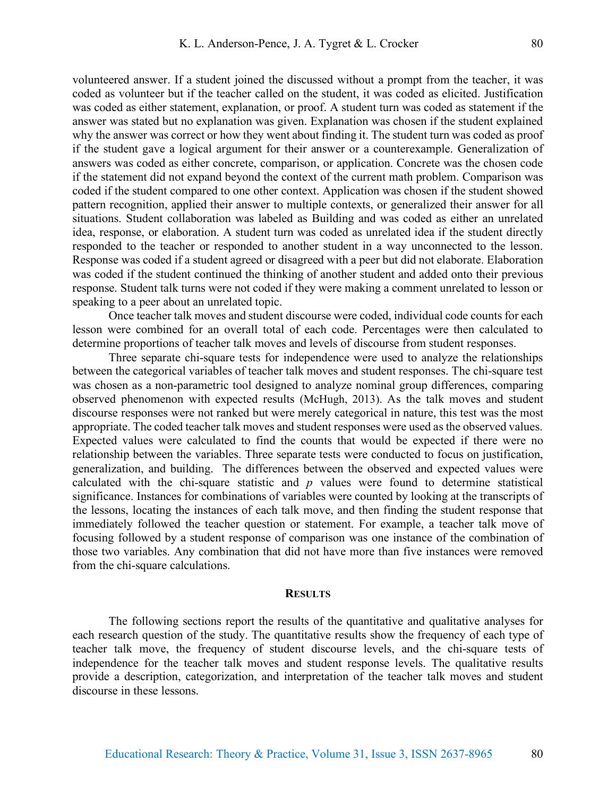volunteered answer. If a student joined the discussed without a prompt from the teacher, it was coded as volunteer but if the teacher called on the student, it was coded as elicited. Justification was coded as either statement, explanation, or proof. A student turn was coded as statement if the answer was stated but no explanation was given. Explanation was chosen if the student explained why the answer was correct or how they went about finding it. The student turn was coded as proof if the student gave a logical argument for their answer or a counterexample. Generalization of answers was coded as either concrete, comparison, or application. Concrete was the chosen code if the statement did not expand beyond the context of the current math problem. Comparison was coded if the student compared to one other context. Application was chosen if the student showed pattern recognition, applied their answer to multiple contexts, or generalized their answer for all situations. Student collaboration was labeled as Building and was coded as either an unrelated idea, response, or elaboration. A student turn was coded as unrelated idea if the student directly responded to the teacher or responded to another student in a way unconnected to the lesson. Response was coded if a student agreed or disagreed with a peer but did not elaborate. Elaboration was coded if the student continued the thinking of another student and added onto their previous response. Student talk turns were not coded if they were making a comment unrelated to lesson or speaking to a peer about an unrelated topic.

Once teacher talk moves and student discourse were coded, individual code counts for each lesson were combined for an overall total of each code. Percentages were then calculated to determine proportions of teacher talk moves and levels of discourse from student responses.

Three separate chi-square tests for independence were used to analyze the relationships between the categorical variables of teacher talk moves and student responses. The chi-square test was chosen as a non-parametric tool designed to analyze nominal group differences, comparing observed phenomenon with expected results (McHugh, 2013). As the talk moves and student discourse responses were not ranked but were merely categorical in nature, this test was the most appropriate. The coded teacher talk moves and student responses were used as the observed values. Expected values were calculated to find the counts that would be expected if there were no relationship between the variables. Three separate tests were conducted to focus on justification, generalization, and building. The differences between the observed and expected values were calculated with the chi-square statistic and *p* values were found to determine statistical significance. Instances for combinations of variables were counted by looking at the transcripts of the lessons, locating the instances of each talk move, and then finding the student response that immediately followed the teacher question or statement. For example, a teacher talk move of focusing followed by a student response of comparison was one instance of the combination of those two variables. Any combination that did not have more than five instances were removed from the chi-square calculations.

#### **RESULTS**

The following sections report the results of the quantitative and qualitative analyses for each research question of the study. The quantitative results show the frequency of each type of teacher talk move, the frequency of student discourse levels, and the chi-square tests of independence for the teacher talk moves and student response levels. The qualitative results provide a description, categorization, and interpretation of the teacher talk moves and student discourse in these lessons.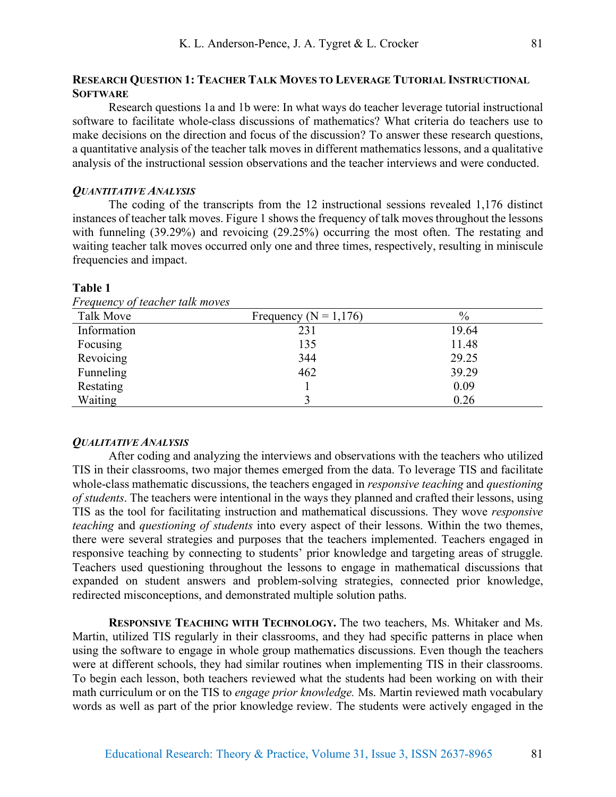Research questions 1a and 1b were: In what ways do teacher leverage tutorial instructional software to facilitate whole-class discussions of mathematics? What criteria do teachers use to make decisions on the direction and focus of the discussion? To answer these research questions, a quantitative analysis of the teacher talk moves in different mathematics lessons, and a qualitative analysis of the instructional session observations and the teacher interviews and were conducted.

# *QUANTITATIVE ANALYSIS*

The coding of the transcripts from the 12 instructional sessions revealed 1,176 distinct instances of teacher talk moves. Figure 1 shows the frequency of talk moves throughout the lessons with funneling (39.29%) and revoicing (29.25%) occurring the most often. The restating and waiting teacher talk moves occurred only one and three times, respectively, resulting in miniscule frequencies and impact.

| Talk Move   | Frequency ( $N = 1,176$ ) | $\%$  |
|-------------|---------------------------|-------|
| Information | 231                       | 19.64 |
| Focusing    | 135                       | 11.48 |
| Revoicing   | 344                       | 29.25 |
| Funneling   | 462                       | 39.29 |
| Restating   |                           | 0.09  |
| Waiting     |                           | 0.26  |

# **Table 1**

*Frequency of teacher talk moves*

#### *QUALITATIVE ANALYSIS*

After coding and analyzing the interviews and observations with the teachers who utilized TIS in their classrooms, two major themes emerged from the data. To leverage TIS and facilitate whole-class mathematic discussions, the teachers engaged in *responsive teaching* and *questioning of students*. The teachers were intentional in the ways they planned and crafted their lessons, using TIS as the tool for facilitating instruction and mathematical discussions. They wove *responsive teaching* and *questioning of students* into every aspect of their lessons. Within the two themes, there were several strategies and purposes that the teachers implemented. Teachers engaged in responsive teaching by connecting to students' prior knowledge and targeting areas of struggle. Teachers used questioning throughout the lessons to engage in mathematical discussions that expanded on student answers and problem-solving strategies, connected prior knowledge, redirected misconceptions, and demonstrated multiple solution paths.

**RESPONSIVE TEACHING WITH TECHNOLOGY.** The two teachers, Ms. Whitaker and Ms. Martin, utilized TIS regularly in their classrooms, and they had specific patterns in place when using the software to engage in whole group mathematics discussions. Even though the teachers were at different schools, they had similar routines when implementing TIS in their classrooms. To begin each lesson, both teachers reviewed what the students had been working on with their math curriculum or on the TIS to *engage prior knowledge.* Ms. Martin reviewed math vocabulary words as well as part of the prior knowledge review. The students were actively engaged in the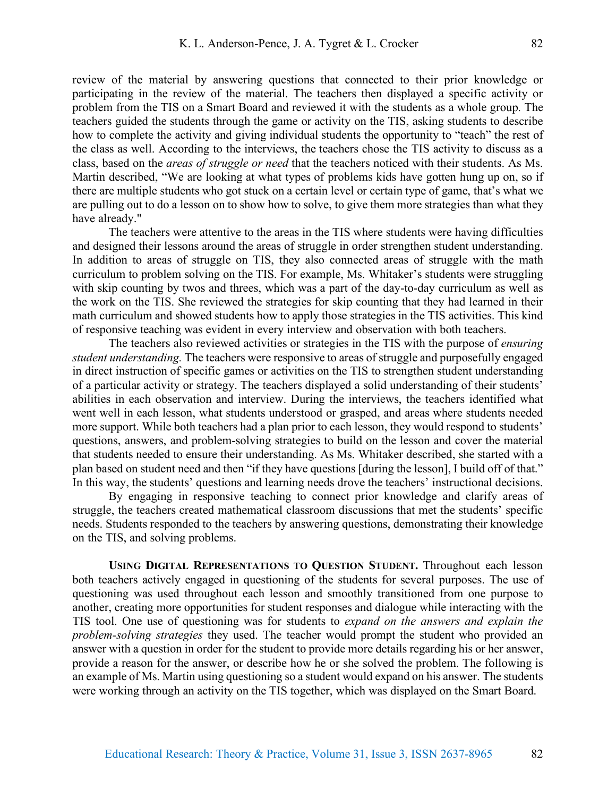review of the material by answering questions that connected to their prior knowledge or participating in the review of the material. The teachers then displayed a specific activity or problem from the TIS on a Smart Board and reviewed it with the students as a whole group. The teachers guided the students through the game or activity on the TIS, asking students to describe how to complete the activity and giving individual students the opportunity to "teach" the rest of the class as well. According to the interviews, the teachers chose the TIS activity to discuss as a class, based on the *areas of struggle or need* that the teachers noticed with their students. As Ms. Martin described, "We are looking at what types of problems kids have gotten hung up on, so if there are multiple students who got stuck on a certain level or certain type of game, that's what we are pulling out to do a lesson on to show how to solve, to give them more strategies than what they have already."

The teachers were attentive to the areas in the TIS where students were having difficulties and designed their lessons around the areas of struggle in order strengthen student understanding. In addition to areas of struggle on TIS, they also connected areas of struggle with the math curriculum to problem solving on the TIS. For example, Ms. Whitaker's students were struggling with skip counting by twos and threes, which was a part of the day-to-day curriculum as well as the work on the TIS. She reviewed the strategies for skip counting that they had learned in their math curriculum and showed students how to apply those strategies in the TIS activities. This kind of responsive teaching was evident in every interview and observation with both teachers.

The teachers also reviewed activities or strategies in the TIS with the purpose of *ensuring student understanding.* The teachers were responsive to areas of struggle and purposefully engaged in direct instruction of specific games or activities on the TIS to strengthen student understanding of a particular activity or strategy. The teachers displayed a solid understanding of their students' abilities in each observation and interview. During the interviews, the teachers identified what went well in each lesson, what students understood or grasped, and areas where students needed more support. While both teachers had a plan prior to each lesson, they would respond to students' questions, answers, and problem-solving strategies to build on the lesson and cover the material that students needed to ensure their understanding. As Ms. Whitaker described, she started with a plan based on student need and then "if they have questions [during the lesson], I build off of that." In this way, the students' questions and learning needs drove the teachers' instructional decisions.

By engaging in responsive teaching to connect prior knowledge and clarify areas of struggle, the teachers created mathematical classroom discussions that met the students' specific needs. Students responded to the teachers by answering questions, demonstrating their knowledge on the TIS, and solving problems.

**USING DIGITAL REPRESENTATIONS TO QUESTION STUDENT.** Throughout each lesson both teachers actively engaged in questioning of the students for several purposes. The use of questioning was used throughout each lesson and smoothly transitioned from one purpose to another, creating more opportunities for student responses and dialogue while interacting with the TIS tool. One use of questioning was for students to *expand on the answers and explain the problem-solving strategies* they used. The teacher would prompt the student who provided an answer with a question in order for the student to provide more details regarding his or her answer, provide a reason for the answer, or describe how he or she solved the problem. The following is an example of Ms. Martin using questioning so a student would expand on his answer. The students were working through an activity on the TIS together, which was displayed on the Smart Board.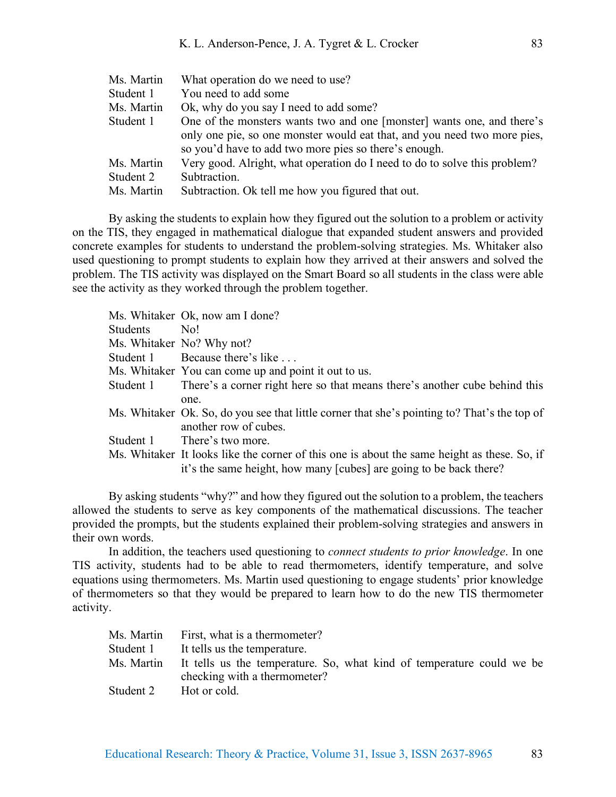| Ms. Martin | What operation do we need to use?                                                                                                                                                                           |
|------------|-------------------------------------------------------------------------------------------------------------------------------------------------------------------------------------------------------------|
| Student 1  | You need to add some                                                                                                                                                                                        |
| Ms. Martin | Ok, why do you say I need to add some?                                                                                                                                                                      |
| Student 1  | One of the monsters wants two and one [monster] wants one, and there's<br>only one pie, so one monster would eat that, and you need two more pies,<br>so you'd have to add two more pies so there's enough. |
| Ms. Martin | Very good. Alright, what operation do I need to do to solve this problem?                                                                                                                                   |
| Student 2  | Subtraction.                                                                                                                                                                                                |
| Ms. Martin | Subtraction. Ok tell me how you figured that out.                                                                                                                                                           |

By asking the students to explain how they figured out the solution to a problem or activity on the TIS, they engaged in mathematical dialogue that expanded student answers and provided concrete examples for students to understand the problem-solving strategies. Ms. Whitaker also used questioning to prompt students to explain how they arrived at their answers and solved the problem. The TIS activity was displayed on the Smart Board so all students in the class were able see the activity as they worked through the problem together.

|           | Ms. Whitaker Ok, now am I done?                                                              |
|-----------|----------------------------------------------------------------------------------------------|
| Students  | No!                                                                                          |
|           | Ms. Whitaker No? Why not?                                                                    |
| Student 1 | Because there's like                                                                         |
|           | Ms. Whitaker You can come up and point it out to us.                                         |
| Student 1 | There's a corner right here so that means there's another cube behind this                   |
|           | one.                                                                                         |
|           | Ms. Whitaker Ok. So, do you see that little corner that she's pointing to? That's the top of |
|           | another row of cubes.                                                                        |
|           | Student 1 There's two more.                                                                  |
|           | Ms. Whitaker It looks like the corner of this one is about the same height as these. So, if  |
|           | it's the same height, how many [cubes] are going to be back there?                           |
|           |                                                                                              |

By asking students "why?" and how they figured out the solution to a problem, the teachers allowed the students to serve as key components of the mathematical discussions. The teacher provided the prompts, but the students explained their problem-solving strategies and answers in their own words.

In addition, the teachers used questioning to *connect students to prior knowledge*. In one TIS activity, students had to be able to read thermometers, identify temperature, and solve equations using thermometers. Ms. Martin used questioning to engage students' prior knowledge of thermometers so that they would be prepared to learn how to do the new TIS thermometer activity.

|            | Ms. Martin First, what is a thermometer?                                                              |
|------------|-------------------------------------------------------------------------------------------------------|
| Student 1  | It tells us the temperature.                                                                          |
| Ms. Martin | It tells us the temperature. So, what kind of temperature could we be<br>checking with a thermometer? |
| Student 2  | Hot or cold.                                                                                          |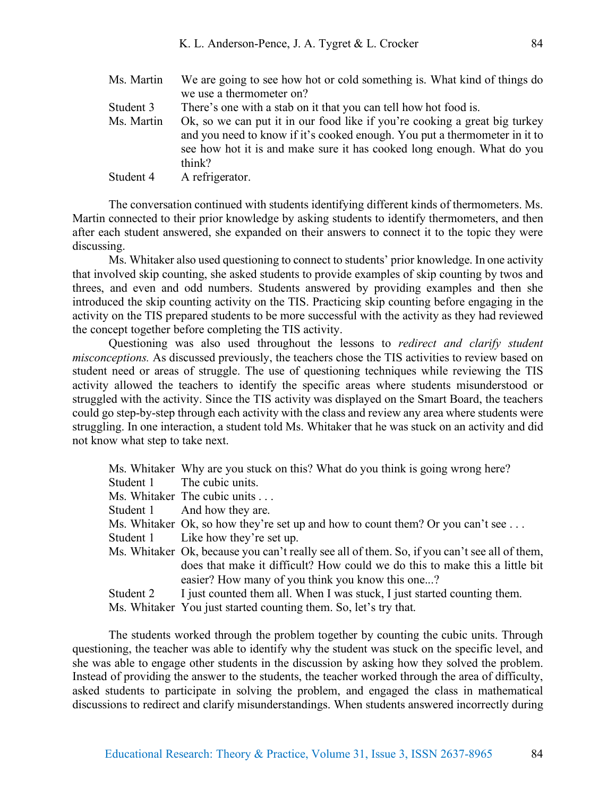Ms. Martin We are going to see how hot or cold something is. What kind of things do we use a thermometer on? Student 3 There's one with a stab on it that you can tell how hot food is. Ms. Martin Ok, so we can put it in our food like if you're cooking a great big turkey and you need to know if it's cooked enough. You put a thermometer in it to see how hot it is and make sure it has cooked long enough. What do you think? Student 4 A refrigerator.

The conversation continued with students identifying different kinds of thermometers. Ms. Martin connected to their prior knowledge by asking students to identify thermometers, and then after each student answered, she expanded on their answers to connect it to the topic they were discussing.

Ms. Whitaker also used questioning to connect to students' prior knowledge. In one activity that involved skip counting, she asked students to provide examples of skip counting by twos and threes, and even and odd numbers. Students answered by providing examples and then she introduced the skip counting activity on the TIS. Practicing skip counting before engaging in the activity on the TIS prepared students to be more successful with the activity as they had reviewed the concept together before completing the TIS activity.

Questioning was also used throughout the lessons to *redirect and clarify student misconceptions.* As discussed previously, the teachers chose the TIS activities to review based on student need or areas of struggle. The use of questioning techniques while reviewing the TIS activity allowed the teachers to identify the specific areas where students misunderstood or struggled with the activity. Since the TIS activity was displayed on the Smart Board, the teachers could go step-by-step through each activity with the class and review any area where students were struggling. In one interaction, a student told Ms. Whitaker that he was stuck on an activity and did not know what step to take next.

|           | Ms. Whitaker Why are you stuck on this? What do you think is going wrong here?               |
|-----------|----------------------------------------------------------------------------------------------|
|           | Student 1 The cubic units.                                                                   |
|           | Ms. Whitaker The cubic units                                                                 |
|           | Student 1 And how they are.                                                                  |
|           | Ms. Whitaker Ok, so how they're set up and how to count them? Or you can't see $\dots$       |
|           | Student 1 Like how they're set up.                                                           |
|           | Ms. Whitaker Ok, because you can't really see all of them. So, if you can't see all of them, |
|           | does that make it difficult? How could we do this to make this a little bit                  |
|           | easier? How many of you think you know this one?                                             |
| Student 2 | I just counted them all. When I was stuck, I just started counting them.                     |
|           | Ms. Whitaker You just started counting them. So, let's try that.                             |

The students worked through the problem together by counting the cubic units. Through questioning, the teacher was able to identify why the student was stuck on the specific level, and she was able to engage other students in the discussion by asking how they solved the problem. Instead of providing the answer to the students, the teacher worked through the area of difficulty, asked students to participate in solving the problem, and engaged the class in mathematical discussions to redirect and clarify misunderstandings. When students answered incorrectly during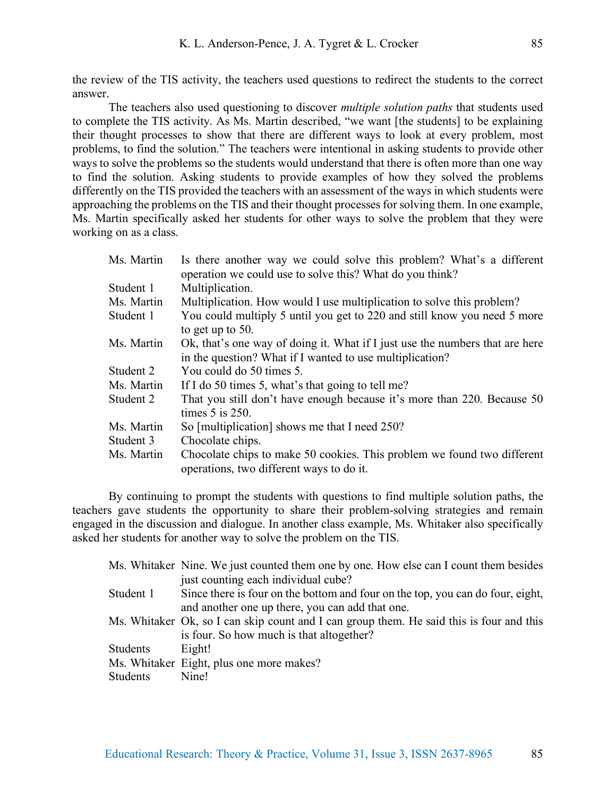the review of the TIS activity, the teachers used questions to redirect the students to the correct answer.

The teachers also used questioning to discover *multiple solution paths* that students used to complete the TIS activity. As Ms. Martin described, "we want [the students] to be explaining their thought processes to show that there are different ways to look at every problem, most problems, to find the solution." The teachers were intentional in asking students to provide other ways to solve the problems so the students would understand that there is often more than one way to find the solution. Asking students to provide examples of how they solved the problems differently on the TIS provided the teachers with an assessment of the ways in which students were approaching the problems on the TIS and their thought processes for solving them. In one example, Ms. Martin specifically asked her students for other ways to solve the problem that they were working on as a class.

| Ms. Martin | Is there another way we could solve this problem? What's a different<br>operation we could use to solve this? What do you think?         |
|------------|------------------------------------------------------------------------------------------------------------------------------------------|
| Student 1  | Multiplication.                                                                                                                          |
| Ms. Martin | Multiplication. How would I use multiplication to solve this problem?                                                                    |
| Student 1  | You could multiply 5 until you get to 220 and still know you need 5 more<br>to get up to $50$ .                                          |
| Ms. Martin | Ok, that's one way of doing it. What if I just use the numbers that are here<br>in the question? What if I wanted to use multiplication? |
| Student 2  | You could do 50 times 5.                                                                                                                 |
| Ms. Martin | If I do 50 times 5, what's that going to tell me?                                                                                        |
| Student 2  | That you still don't have enough because it's more than 220. Because 50<br>times $5$ is $250$ .                                          |
| Ms. Martin | So [multiplication] shows me that I need 250?                                                                                            |
| Student 3  | Chocolate chips.                                                                                                                         |
| Ms. Martin | Chocolate chips to make 50 cookies. This problem we found two different<br>operations, two different ways to do it.                      |

By continuing to prompt the students with questions to find multiple solution paths, the teachers gave students the opportunity to share their problem-solving strategies and remain engaged in the discussion and dialogue. In another class example, Ms. Whitaker also specifically asked her students for another way to solve the problem on the TIS.

|           | Ms. Whitaker Nine. We just counted them one by one. How else can I count them besides    |
|-----------|------------------------------------------------------------------------------------------|
|           | just counting each individual cube?                                                      |
| Student 1 | Since there is four on the bottom and four on the top, you can do four, eight,           |
|           | and another one up there, you can add that one.                                          |
|           | Ms. Whitaker Ok, so I can skip count and I can group them. He said this is four and this |
|           | is four. So how much is that altogether?                                                 |
| Students  | Eight!                                                                                   |
|           | Ms. Whitaker Eight, plus one more makes?                                                 |
| Students  | Nine!                                                                                    |
|           |                                                                                          |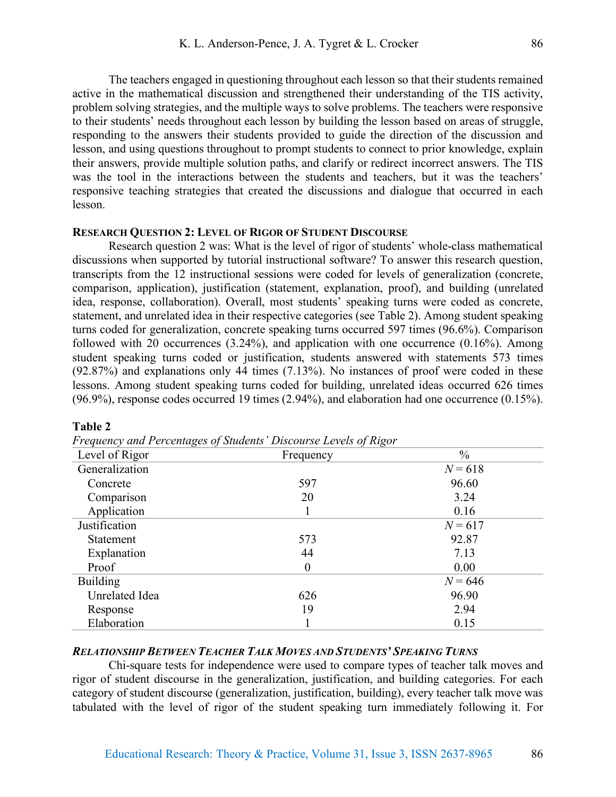The teachers engaged in questioning throughout each lesson so that their students remained active in the mathematical discussion and strengthened their understanding of the TIS activity, problem solving strategies, and the multiple ways to solve problems. The teachers were responsive to their students' needs throughout each lesson by building the lesson based on areas of struggle, responding to the answers their students provided to guide the direction of the discussion and lesson, and using questions throughout to prompt students to connect to prior knowledge, explain their answers, provide multiple solution paths, and clarify or redirect incorrect answers. The TIS was the tool in the interactions between the students and teachers, but it was the teachers' responsive teaching strategies that created the discussions and dialogue that occurred in each lesson.

# **RESEARCH QUESTION 2: LEVEL OF RIGOR OF STUDENT DISCOURSE**

Research question 2 was: What is the level of rigor of students' whole-class mathematical discussions when supported by tutorial instructional software? To answer this research question, transcripts from the 12 instructional sessions were coded for levels of generalization (concrete, comparison, application), justification (statement, explanation, proof), and building (unrelated idea, response, collaboration). Overall, most students' speaking turns were coded as concrete, statement, and unrelated idea in their respective categories (see Table 2). Among student speaking turns coded for generalization, concrete speaking turns occurred 597 times (96.6%). Comparison followed with 20 occurrences  $(3.24\%)$ , and application with one occurrence  $(0.16\%)$ . Among student speaking turns coded or justification, students answered with statements 573 times (92.87%) and explanations only 44 times (7.13%). No instances of proof were coded in these lessons. Among student speaking turns coded for building, unrelated ideas occurred 626 times (96.9%), response codes occurred 19 times (2.94%), and elaboration had one occurrence (0.15%).

| Frequency and Percentages of Students Discourse Levels of Rigor |           |           |  |  |
|-----------------------------------------------------------------|-----------|-----------|--|--|
| Level of Rigor                                                  | Frequency |           |  |  |
| Generalization                                                  |           | $N = 618$ |  |  |
| Concrete                                                        | 597       | 96.60     |  |  |
| Comparison                                                      | 20        | 3.24      |  |  |
| Application                                                     |           | 0.16      |  |  |
| Justification                                                   |           | $N = 617$ |  |  |
| <b>Statement</b>                                                | 573       | 92.87     |  |  |
| Explanation                                                     | 44        | 7.13      |  |  |
| Proof                                                           | $\theta$  | 0.00      |  |  |
| <b>Building</b>                                                 |           | $N = 646$ |  |  |
| Unrelated Idea                                                  | 626       | 96.90     |  |  |
| Response                                                        | 19        | 2.94      |  |  |
| Elaboration                                                     |           | 0.15      |  |  |

# *Frequency and Percentages of Students' Discourse Levels of Rigor*

**Table 2**

## *RELATIONSHIP BETWEEN TEACHER TALK MOVES AND STUDENTS' SPEAKING TURNS*

Chi-square tests for independence were used to compare types of teacher talk moves and rigor of student discourse in the generalization, justification, and building categories. For each category of student discourse (generalization, justification, building), every teacher talk move was tabulated with the level of rigor of the student speaking turn immediately following it. For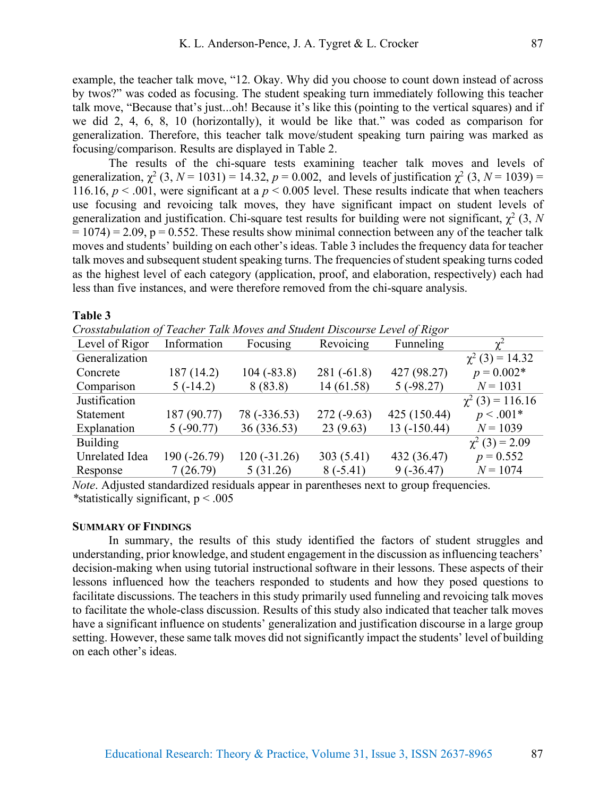example, the teacher talk move, "12. Okay. Why did you choose to count down instead of across by twos?" was coded as focusing. The student speaking turn immediately following this teacher talk move, "Because that's just...oh! Because it's like this (pointing to the vertical squares) and if we did 2, 4, 6, 8, 10 (horizontally), it would be like that." was coded as comparison for generalization. Therefore, this teacher talk move/student speaking turn pairing was marked as focusing/comparison. Results are displayed in Table 2.

The results of the chi-square tests examining teacher talk moves and levels of generalization,  $\chi^2$  (3, *N* = 1031) = 14.32, *p* = 0.002, and levels of justification  $\chi^2$  (3, *N* = 1039) = 116.16,  $p < .001$ , were significant at a  $p < 0.005$  level. These results indicate that when teachers use focusing and revoicing talk moves, they have significant impact on student levels of generalization and justification. Chi-square test results for building were not significant,  $\chi^2$  (3, *N*  $= 1074$ ) = 2.09, p = 0.552. These results show minimal connection between any of the teacher talk moves and students' building on each other's ideas. Table 3 includes the frequency data for teacher talk moves and subsequent student speaking turns. The frequencies of student speaking turns coded as the highest level of each category (application, proof, and elaboration, respectively) each had less than five instances, and were therefore removed from the chi-square analysis.

#### **Table 3**

*Crosstabulation of Teacher Talk Moves and Student Discourse Level of Rigor*

| Crossiabulation of Teacher Taik Moves and Student Discourse Level of Kigor |               |               |              |               |                       |
|----------------------------------------------------------------------------|---------------|---------------|--------------|---------------|-----------------------|
| Level of Rigor                                                             | Information   | Focusing      | Revoicing    | Funneling     | $\gamma^2$            |
| Generalization                                                             |               |               |              |               | $\chi^2$ (3) = 14.32  |
| Concrete                                                                   | 187 (14.2)    | $104(-83.8)$  | $281(-61.8)$ | 427 (98.27)   | $p = 0.002*$          |
| Comparison                                                                 | $5(-14.2)$    | 8(83.8)       | 14 (61.58)   | 5(.98.27)     | $N = 1031$            |
| Justification                                                              |               |               |              |               | $\chi^2$ (3) = 116.16 |
| <b>Statement</b>                                                           | 187 (90.77)   | 78 (-336.53)  | $272(-9.63)$ | 425 (150.44)  | $p < .001*$           |
| Explanation                                                                | 5(.90.77)     | 36 (336.53)   | 23(9.63)     | $13(-150.44)$ | $N = 1039$            |
| <b>Building</b>                                                            |               |               |              |               | $\chi^2$ (3) = 2.09   |
| <b>Unrelated Idea</b>                                                      | $190(-26.79)$ | $120(-31.26)$ | 303 (5.41)   | 432 (36.47)   | $p = 0.552$           |
| Response                                                                   | 7(26.79)      | 5(31.26)      | $8(-5.41)$   | $9(-36.47)$   | $N = 1074$            |
|                                                                            |               |               |              |               |                       |

*Note*. Adjusted standardized residuals appear in parentheses next to group frequencies. *\**statistically significant, p < .005

#### **SUMMARY OF FINDINGS**

In summary, the results of this study identified the factors of student struggles and understanding, prior knowledge, and student engagement in the discussion as influencing teachers' decision-making when using tutorial instructional software in their lessons. These aspects of their lessons influenced how the teachers responded to students and how they posed questions to facilitate discussions. The teachers in this study primarily used funneling and revoicing talk moves to facilitate the whole-class discussion. Results of this study also indicated that teacher talk moves have a significant influence on students' generalization and justification discourse in a large group setting. However, these same talk moves did not significantly impact the students' level of building on each other's ideas.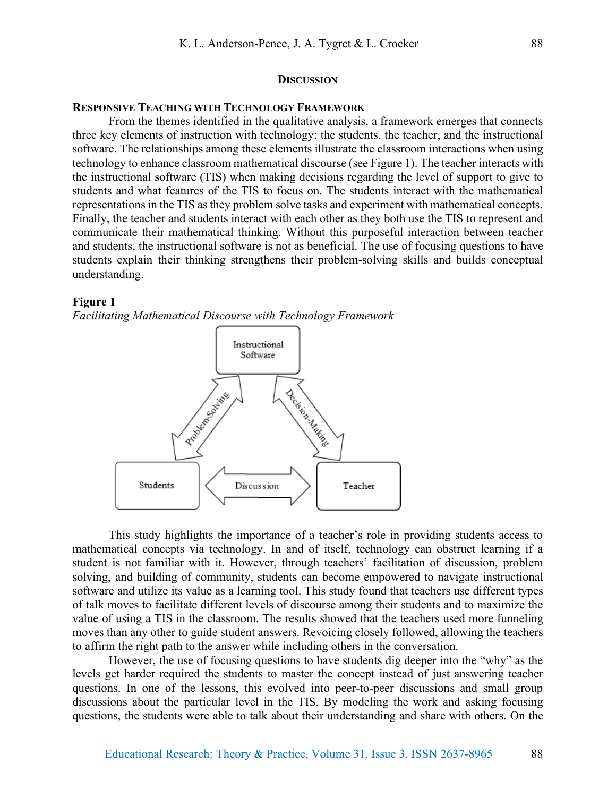#### **DISCUSSION**

# **RESPONSIVE TEACHING WITH TECHNOLOGY FRAMEWORK**

From the themes identified in the qualitative analysis, a framework emerges that connects three key elements of instruction with technology: the students, the teacher, and the instructional software. The relationships among these elements illustrate the classroom interactions when using technology to enhance classroom mathematical discourse (see Figure 1). The teacher interacts with the instructional software (TIS) when making decisions regarding the level of support to give to students and what features of the TIS to focus on. The students interact with the mathematical representations in the TIS as they problem solve tasks and experiment with mathematical concepts. Finally, the teacher and students interact with each other as they both use the TIS to represent and communicate their mathematical thinking. Without this purposeful interaction between teacher and students, the instructional software is not as beneficial. The use of focusing questions to have students explain their thinking strengthens their problem-solving skills and builds conceptual understanding.

#### **Figure 1**

*Facilitating Mathematical Discourse with Technology Framework*



This study highlights the importance of a teacher's role in providing students access to mathematical concepts via technology. In and of itself, technology can obstruct learning if a student is not familiar with it. However, through teachers' facilitation of discussion, problem solving, and building of community, students can become empowered to navigate instructional software and utilize its value as a learning tool. This study found that teachers use different types of talk moves to facilitate different levels of discourse among their students and to maximize the value of using a TIS in the classroom. The results showed that the teachers used more funneling moves than any other to guide student answers. Revoicing closely followed, allowing the teachers to affirm the right path to the answer while including others in the conversation.

However, the use of focusing questions to have students dig deeper into the "why" as the levels get harder required the students to master the concept instead of just answering teacher questions. In one of the lessons, this evolved into peer-to-peer discussions and small group discussions about the particular level in the TIS. By modeling the work and asking focusing questions, the students were able to talk about their understanding and share with others. On the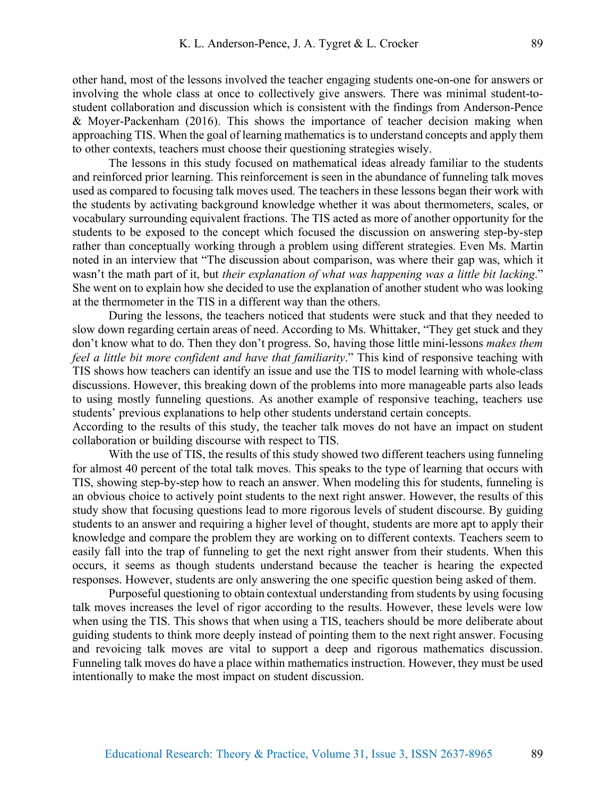other hand, most of the lessons involved the teacher engaging students one-on-one for answers or involving the whole class at once to collectively give answers. There was minimal student-tostudent collaboration and discussion which is consistent with the findings from Anderson-Pence & Moyer-Packenham (2016). This shows the importance of teacher decision making when approaching TIS. When the goal of learning mathematics is to understand concepts and apply them to other contexts, teachers must choose their questioning strategies wisely.

The lessons in this study focused on mathematical ideas already familiar to the students and reinforced prior learning. This reinforcement is seen in the abundance of funneling talk moves used as compared to focusing talk moves used. The teachers in these lessons began their work with the students by activating background knowledge whether it was about thermometers, scales, or vocabulary surrounding equivalent fractions. The TIS acted as more of another opportunity for the students to be exposed to the concept which focused the discussion on answering step-by-step rather than conceptually working through a problem using different strategies. Even Ms. Martin noted in an interview that "The discussion about comparison, was where their gap was, which it wasn't the math part of it, but *their explanation of what was happening was a little bit lacking*." She went on to explain how she decided to use the explanation of another student who was looking at the thermometer in the TIS in a different way than the others.

During the lessons, the teachers noticed that students were stuck and that they needed to slow down regarding certain areas of need. According to Ms. Whittaker, "They get stuck and they don't know what to do. Then they don't progress. So, having those little mini-lessons *makes them feel a little bit more confident and have that familiarity*." This kind of responsive teaching with TIS shows how teachers can identify an issue and use the TIS to model learning with whole-class discussions. However, this breaking down of the problems into more manageable parts also leads to using mostly funneling questions. As another example of responsive teaching, teachers use students' previous explanations to help other students understand certain concepts.

According to the results of this study, the teacher talk moves do not have an impact on student collaboration or building discourse with respect to TIS.

With the use of TIS, the results of this study showed two different teachers using funneling for almost 40 percent of the total talk moves. This speaks to the type of learning that occurs with TIS, showing step-by-step how to reach an answer. When modeling this for students, funneling is an obvious choice to actively point students to the next right answer. However, the results of this study show that focusing questions lead to more rigorous levels of student discourse. By guiding students to an answer and requiring a higher level of thought, students are more apt to apply their knowledge and compare the problem they are working on to different contexts. Teachers seem to easily fall into the trap of funneling to get the next right answer from their students. When this occurs, it seems as though students understand because the teacher is hearing the expected responses. However, students are only answering the one specific question being asked of them.

Purposeful questioning to obtain contextual understanding from students by using focusing talk moves increases the level of rigor according to the results. However, these levels were low when using the TIS. This shows that when using a TIS, teachers should be more deliberate about guiding students to think more deeply instead of pointing them to the next right answer. Focusing and revoicing talk moves are vital to support a deep and rigorous mathematics discussion. Funneling talk moves do have a place within mathematics instruction. However, they must be used intentionally to make the most impact on student discussion.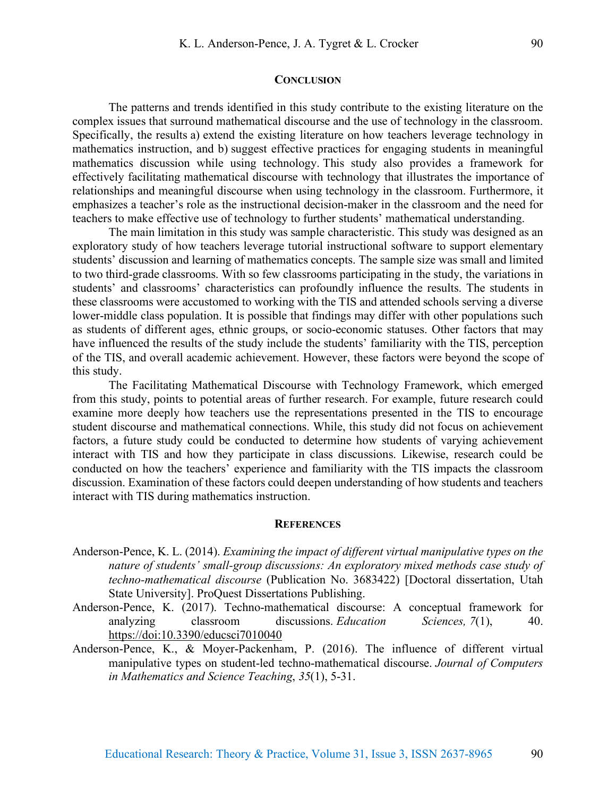#### **CONCLUSION**

The patterns and trends identified in this study contribute to the existing literature on the complex issues that surround mathematical discourse and the use of technology in the classroom. Specifically, the results a) extend the existing literature on how teachers leverage technology in mathematics instruction, and b) suggest effective practices for engaging students in meaningful mathematics discussion while using technology. This study also provides a framework for effectively facilitating mathematical discourse with technology that illustrates the importance of relationships and meaningful discourse when using technology in the classroom. Furthermore, it emphasizes a teacher's role as the instructional decision-maker in the classroom and the need for teachers to make effective use of technology to further students' mathematical understanding.

The main limitation in this study was sample characteristic. This study was designed as an exploratory study of how teachers leverage tutorial instructional software to support elementary students' discussion and learning of mathematics concepts. The sample size was small and limited to two third-grade classrooms. With so few classrooms participating in the study, the variations in students' and classrooms' characteristics can profoundly influence the results. The students in these classrooms were accustomed to working with the TIS and attended schools serving a diverse lower-middle class population. It is possible that findings may differ with other populations such as students of different ages, ethnic groups, or socio-economic statuses. Other factors that may have influenced the results of the study include the students' familiarity with the TIS, perception of the TIS, and overall academic achievement. However, these factors were beyond the scope of this study.

The Facilitating Mathematical Discourse with Technology Framework, which emerged from this study, points to potential areas of further research. For example, future research could examine more deeply how teachers use the representations presented in the TIS to encourage student discourse and mathematical connections. While, this study did not focus on achievement factors, a future study could be conducted to determine how students of varying achievement interact with TIS and how they participate in class discussions. Likewise, research could be conducted on how the teachers' experience and familiarity with the TIS impacts the classroom discussion. Examination of these factors could deepen understanding of how students and teachers interact with TIS during mathematics instruction.

#### **REFERENCES**

- Anderson-Pence, K. L. (2014). *Examining the impact of different virtual manipulative types on the nature of students' small-group discussions: An exploratory mixed methods case study of techno-mathematical discourse* (Publication No. 3683422) [Doctoral dissertation, Utah State University]. ProQuest Dissertations Publishing.
- Anderson-Pence, K. (2017). Techno-mathematical discourse: A conceptual framework for analyzing classroom discussions. *Education Sciences, 7*(1), 40. https://doi:10.3390/educsci7010040
- Anderson-Pence, K., & Moyer-Packenham, P. (2016). The influence of different virtual manipulative types on student-led techno-mathematical discourse. *Journal of Computers in Mathematics and Science Teaching*, *35*(1), 5-31.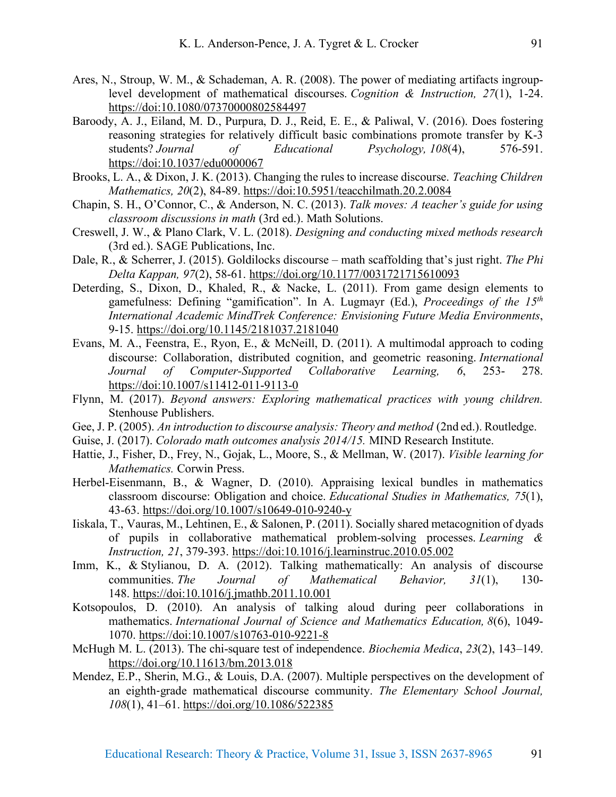- Ares, N., Stroup, W. M., & Schademan, A. R. (2008). The power of mediating artifacts ingrouplevel development of mathematical discourses. *Cognition & Instruction, 27*(1), 1-24. https://doi:10.1080/07370000802584497
- Baroody, A. J., Eiland, M. D., Purpura, D. J., Reid, E. E., & Paliwal, V. (2016). Does fostering reasoning strategies for relatively difficult basic combinations promote transfer by K-3 students? *Journal of Educational Psychology, 108*(4), 576-591. https://doi:10.1037/edu0000067
- Brooks, L. A., & Dixon, J. K. (2013). Changing the rules to increase discourse. *Teaching Children Mathematics, 20*(2), 84-89. https://doi:10.5951/teacchilmath.20.2.0084
- Chapin, S. H., O'Connor, C., & Anderson, N. C. (2013). *Talk moves: A teacher's guide for using classroom discussions in math* (3rd ed.). Math Solutions.
- Creswell, J. W., & Plano Clark, V. L. (2018). *Designing and conducting mixed methods research*  (3rd ed.). SAGE Publications, Inc.
- Dale, R., & Scherrer, J. (2015). Goldilocks discourse math scaffolding that's just right. *The Phi Delta Kappan, 97*(2), 58-61. https://doi.org/10.1177/0031721715610093
- Deterding, S., Dixon, D., Khaled, R., & Nacke, L. (2011). From game design elements to gamefulness: Defining "gamification". In A. Lugmayr (Ed.), *Proceedings of the 15th International Academic MindTrek Conference: Envisioning Future Media Environments*, 9-15. https://doi.org/10.1145/2181037.2181040
- Evans, M. A., Feenstra, E., Ryon, E., & McNeill, D. (2011). A multimodal approach to coding discourse: Collaboration, distributed cognition, and geometric reasoning. *International Journal of Computer-Supported Collaborative Learning, 6*, 253- 278. https://doi:10.1007/s11412-011-9113-0
- Flynn, M. (2017). *Beyond answers: Exploring mathematical practices with young children.* Stenhouse Publishers.
- Gee, J. P. (2005). *An introduction to discourse analysis: Theory and method* (2nd ed.). Routledge.
- Guise, J. (2017). *Colorado math outcomes analysis 2014/15.* MIND Research Institute.
- Hattie, J., Fisher, D., Frey, N., Gojak, L., Moore, S., & Mellman, W. (2017). *Visible learning for Mathematics.* Corwin Press.
- Herbel-Eisenmann, B., & Wagner, D. (2010). Appraising lexical bundles in mathematics classroom discourse: Obligation and choice. *Educational Studies in Mathematics, 75*(1), 43-63. https://doi.org/10.1007/s10649-010-9240-y
- Iiskala, T., Vauras, M., Lehtinen, E., & Salonen, P. (2011). Socially shared metacognition of dyads of pupils in collaborative mathematical problem-solving processes. *Learning & Instruction, 21*, 379-393. https://doi:10.1016/j.learninstruc.2010.05.002
- Imm, K., & Stylianou, D. A. (2012). Talking mathematically: An analysis of discourse communities. *The Journal of Mathematical Behavior, 31*(1), 130- 148. https://doi:10.1016/j.jmathb.2011.10.001
- Kotsopoulos, D. (2010). An analysis of talking aloud during peer collaborations in mathematics. *International Journal of Science and Mathematics Education, 8*(6), 1049- 1070. https://doi:10.1007/s10763-010-9221-8
- McHugh M. L. (2013). The chi-square test of independence. *Biochemia Medica*, *23*(2), 143–149. https://doi.org/10.11613/bm.2013.018
- Mendez, E.P., Sherin, M.G., & Louis, D.A. (2007). Multiple perspectives on the development of an eighth-grade mathematical discourse community. *The Elementary School Journal, 108*(1), 41–61. https://doi.org/10.1086/522385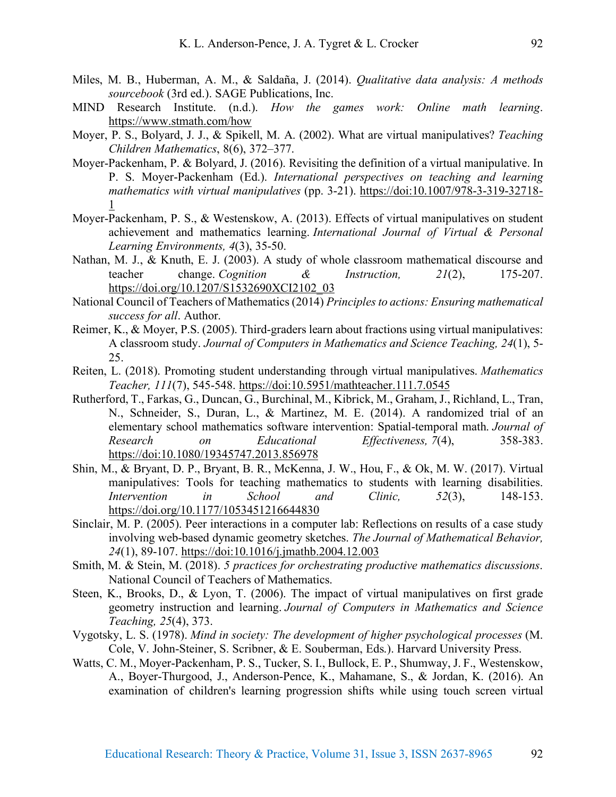- Miles, M. B., Huberman, A. M., & Saldaña, J. (2014). *Qualitative data analysis: A methods sourcebook* (3rd ed.). SAGE Publications, Inc.
- MIND Research Institute. (n.d.). *How the games work: Online math learning*. https://www.stmath.com/how
- Moyer, P. S., Bolyard, J. J., & Spikell, M. A. (2002). What are virtual manipulatives? *Teaching Children Mathematics*, 8(6), 372–377.
- Moyer-Packenham, P. & Bolyard, J. (2016). Revisiting the definition of a virtual manipulative. In P. S. Moyer-Packenham (Ed.). *International perspectives on teaching and learning mathematics with virtual manipulatives* (pp. 3-21). https://doi:10.1007/978-3-319-32718- 1
- Moyer-Packenham, P. S., & Westenskow, A. (2013). Effects of virtual manipulatives on student achievement and mathematics learning. *International Journal of Virtual & Personal Learning Environments, 4*(3), 35-50.
- Nathan, M. J., & Knuth, E. J. (2003). A study of whole classroom mathematical discourse and teacher change. *Cognition & Instruction, 21*(2), 175-207. https://doi.org/10.1207/S1532690XCI2102\_03
- National Council of Teachers of Mathematics (2014) *Principles to actions: Ensuring mathematical success for all*. Author.
- Reimer, K., & Moyer, P.S. (2005). Third-graders learn about fractions using virtual manipulatives: A classroom study. *Journal of Computers in Mathematics and Science Teaching, 24*(1), 5- 25.
- Reiten, L. (2018). Promoting student understanding through virtual manipulatives. *Mathematics Teacher, 111*(7), 545-548. https://doi:10.5951/mathteacher.111.7.0545
- Rutherford, T., Farkas, G., Duncan, G., Burchinal, M., Kibrick, M., Graham, J., Richland, L., Tran, N., Schneider, S., Duran, L., & Martinez, M. E. (2014). A randomized trial of an elementary school mathematics software intervention: Spatial-temporal math. *Journal of Research on Educational Effectiveness, 7*(4), 358-383. https://doi:10.1080/19345747.2013.856978
- Shin, M., & Bryant, D. P., Bryant, B. R., McKenna, J. W., Hou, F., & Ok, M. W. (2017). Virtual manipulatives: Tools for teaching mathematics to students with learning disabilities. *Intervention in School and Clinic, 52*(3), 148-153. https://doi.org/10.1177/1053451216644830
- Sinclair, M. P. (2005). Peer interactions in a computer lab: Reflections on results of a case study involving web-based dynamic geometry sketches. *The Journal of Mathematical Behavior, 24*(1), 89-107. https://doi:10.1016/j.jmathb.2004.12.003
- Smith, M. & Stein, M. (2018). *5 practices for orchestrating productive mathematics discussions*. National Council of Teachers of Mathematics.
- Steen, K., Brooks, D., & Lyon, T. (2006). The impact of virtual manipulatives on first grade geometry instruction and learning. *Journal of Computers in Mathematics and Science Teaching, 25*(4), 373.
- Vygotsky, L. S. (1978). *Mind in society: The development of higher psychological processes* (M. Cole, V. John-Steiner, S. Scribner, & E. Souberman, Eds.). Harvard University Press.
- Watts, C. M., Moyer-Packenham, P. S., Tucker, S. I., Bullock, E. P., Shumway, J. F., Westenskow, A., Boyer-Thurgood, J., Anderson-Pence, K., Mahamane, S., & Jordan, K. (2016). An examination of children's learning progression shifts while using touch screen virtual